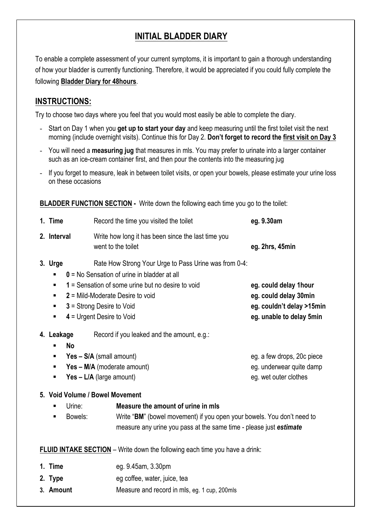## **INITIAL BLADDER DIARY**

To enable a complete assessment of your current symptoms, it is important to gain a thorough understanding of how your bladder is currently functioning. Therefore, it would be appreciated if you could fully complete the following **Bladder Diary for 48hours**.

## **INSTRUCTIONS:**

Try to choose two days where you feel that you would most easily be able to complete the diary.

- Start on Day 1 when you **get up to start your day** and keep measuring until the first toilet visit the next morning (include overnight visits). Continue this for Day 2. **Don't forget to record the first visit on Day 3**
- You will need a **measuring jug** that measures in mls. You may prefer to urinate into a larger container such as an ice-cream container first, and then pour the contents into the measuring jug
- If you forget to measure, leak in between toilet visits, or open your bowels, please estimate your urine loss on these occasions

**BLADDER FUNCTION SECTION -** Write down the following each time you go to the toilet:

| 1. Time                                       | Record the time you visited the toilet                                                                                                                                                                                                                    | eg. 9.30am                                                                                                                                   |  |  |  |  |
|-----------------------------------------------|-----------------------------------------------------------------------------------------------------------------------------------------------------------------------------------------------------------------------------------------------------------|----------------------------------------------------------------------------------------------------------------------------------------------|--|--|--|--|
| 2. Interval                                   | Write how long it has been since the last time you<br>went to the toilet                                                                                                                                                                                  | eg. 2hrs, 45min                                                                                                                              |  |  |  |  |
| 3. Urge<br>$\blacksquare$<br>٠<br>٠<br>٠<br>٠ | Rate How Strong Your Urge to Pass Urine was from 0-4:<br>0 = No Sensation of urine in bladder at all<br>1 = Sensation of some urine but no desire to void<br>$2$ = Mild-Moderate Desire to void<br>3 = Strong Desire to Void<br>4 = Urgent Desire to Void | eg. could delay 1hour<br>eg. could delay 30min<br>eg. couldn't delay >15min<br>eg. unable to delay 5min                                      |  |  |  |  |
| 4. Leakage<br><b>No</b><br>٠<br>٠<br>ш<br>٠   | Record if you leaked and the amount, e.g.:<br>Yes - S/A (small amount)<br>Yes - M/A (moderate amount)<br>Yes - L/A (large amount)                                                                                                                         | eg. a few drops, 20c piece<br>eg. underwear quite damp<br>eg. wet outer clothes                                                              |  |  |  |  |
| Urine:<br>$\blacksquare$<br>Bowels:<br>п      | 5. Void Volume / Bowel Movement<br>Measure the amount of urine in mls                                                                                                                                                                                     | Write "BM" (bowel movement) if you open your bowels. You don't need to<br>measure any urine you pass at the same time - please just estimate |  |  |  |  |
|                                               | <b>FLUID INTAKE SECTION</b> - Write down the following each time you have a drink:                                                                                                                                                                        |                                                                                                                                              |  |  |  |  |
| 1. Time<br>2. Type<br>3. Amount               | eg. 9.45am, 3.30pm<br>eg coffee, water, juice, tea<br>Measure and record in mls, eg. 1 cup, 200mls                                                                                                                                                        |                                                                                                                                              |  |  |  |  |